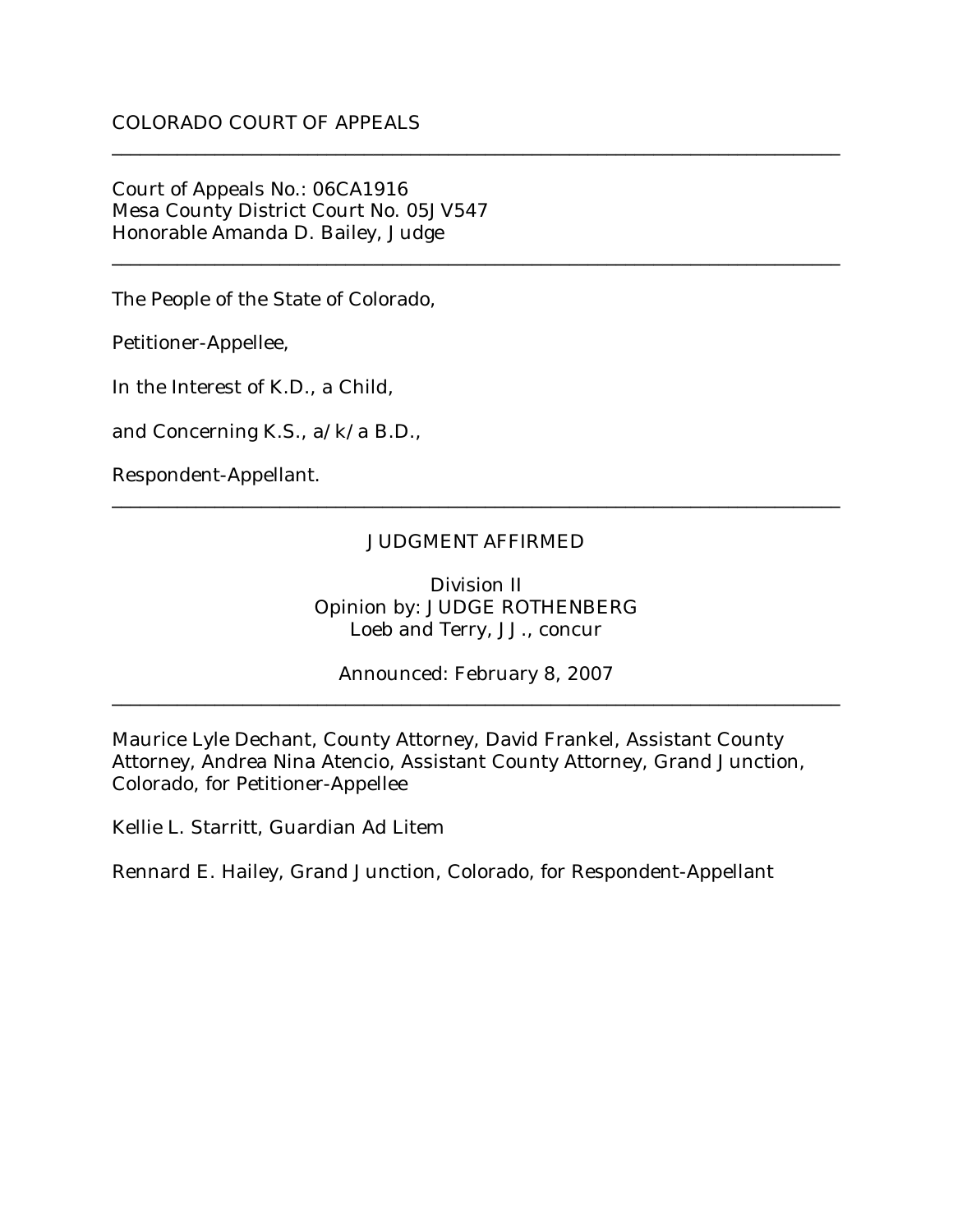Court of Appeals No.: 06CA1916 Mesa County District Court No. 05JV547 Honorable Amanda D. Bailey, Judge

The People of the State of Colorado,

Petitioner-Appellee,

In the Interest of K.D., a Child,

and Concerning K.S., a/k/a B.D.,

Respondent-Appellant.

## JUDGMENT AFFIRMED

\_\_\_\_\_\_\_\_\_\_\_\_\_\_\_\_\_\_\_\_\_\_\_\_\_\_\_\_\_\_\_\_\_\_\_\_\_\_\_\_\_\_\_\_\_\_\_\_\_\_\_\_\_\_\_\_\_\_\_\_\_\_\_\_\_\_\_\_\_\_\_\_\_\_\_\_\_\_

\_\_\_\_\_\_\_\_\_\_\_\_\_\_\_\_\_\_\_\_\_\_\_\_\_\_\_\_\_\_\_\_\_\_\_\_\_\_\_\_\_\_\_\_\_\_\_\_\_\_\_\_\_\_\_\_\_\_\_\_\_\_\_\_\_\_\_\_\_\_\_\_\_\_\_\_\_\_

\_\_\_\_\_\_\_\_\_\_\_\_\_\_\_\_\_\_\_\_\_\_\_\_\_\_\_\_\_\_\_\_\_\_\_\_\_\_\_\_\_\_\_\_\_\_\_\_\_\_\_\_\_\_\_\_\_\_\_\_\_\_\_\_\_\_\_\_\_\_\_\_\_\_\_\_\_\_

Division II Opinion by: JUDGE ROTHENBERG Loeb and Terry, JJ., concur

Announced: February 8, 2007 \_\_\_\_\_\_\_\_\_\_\_\_\_\_\_\_\_\_\_\_\_\_\_\_\_\_\_\_\_\_\_\_\_\_\_\_\_\_\_\_\_\_\_\_\_\_\_\_\_\_\_\_\_\_\_\_\_\_\_\_\_\_\_\_\_\_\_\_\_\_\_\_\_\_\_\_\_\_

Maurice Lyle Dechant, County Attorney, David Frankel, Assistant County Attorney, Andrea Nina Atencio, Assistant County Attorney, Grand Junction, Colorado, for Petitioner-Appellee

Kellie L. Starritt, Guardian Ad Litem

Rennard E. Hailey, Grand Junction, Colorado, for Respondent-Appellant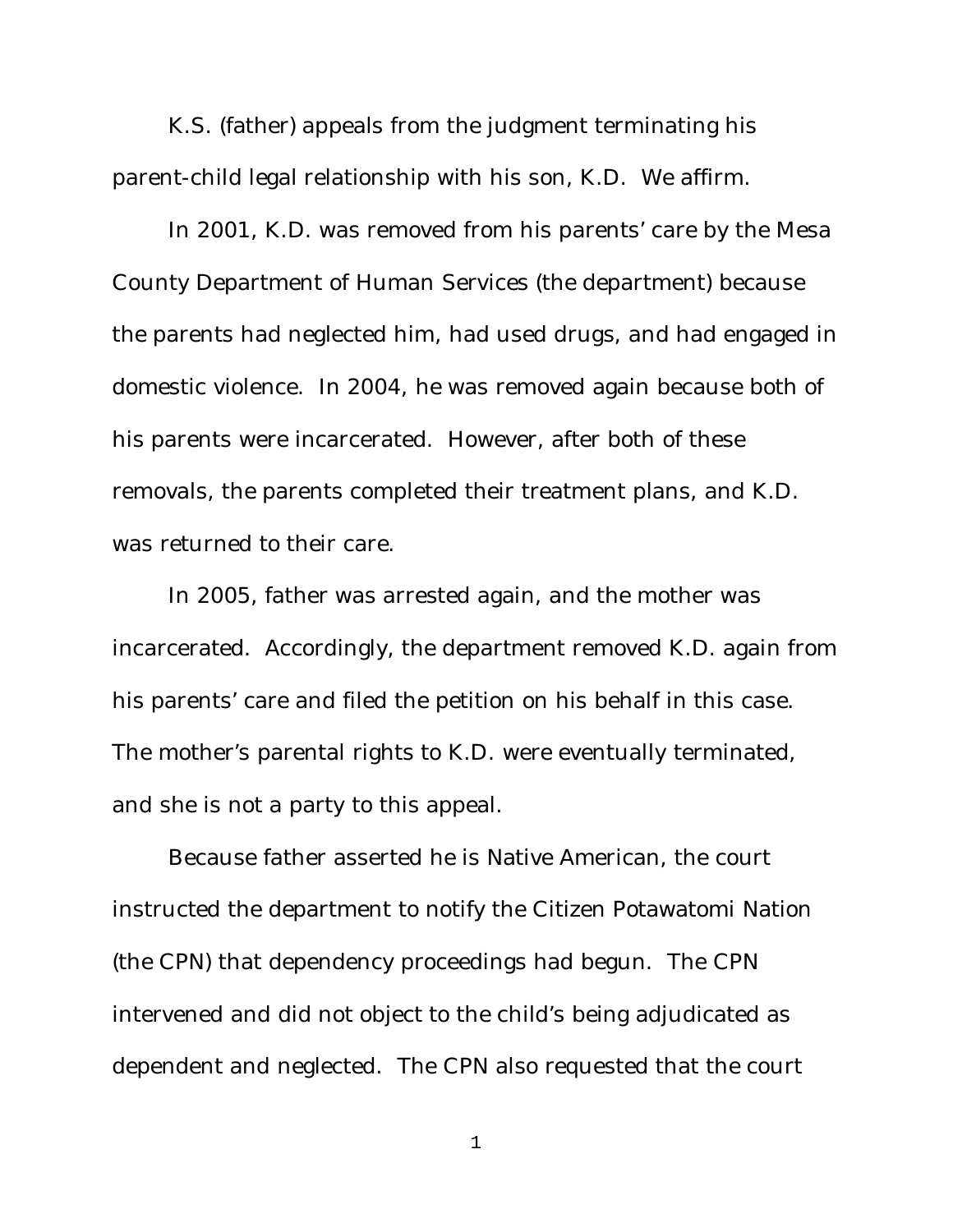K.S. (father) appeals from the judgment terminating his parent-child legal relationship with his son, K.D. We affirm.

In 2001, K.D. was removed from his parents' care by the Mesa County Department of Human Services (the department) because the parents had neglected him, had used drugs, and had engaged in domestic violence. In 2004, he was removed again because both of his parents were incarcerated. However, after both of these removals, the parents completed their treatment plans, and K.D. was returned to their care.

In 2005, father was arrested again, and the mother was incarcerated. Accordingly, the department removed K.D. again from his parents' care and filed the petition on his behalf in this case. The mother's parental rights to K.D. were eventually terminated, and she is not a party to this appeal.

Because father asserted he is Native American, the court instructed the department to notify the Citizen Potawatomi Nation (the CPN) that dependency proceedings had begun. The CPN intervened and did not object to the child's being adjudicated as dependent and neglected. The CPN also requested that the court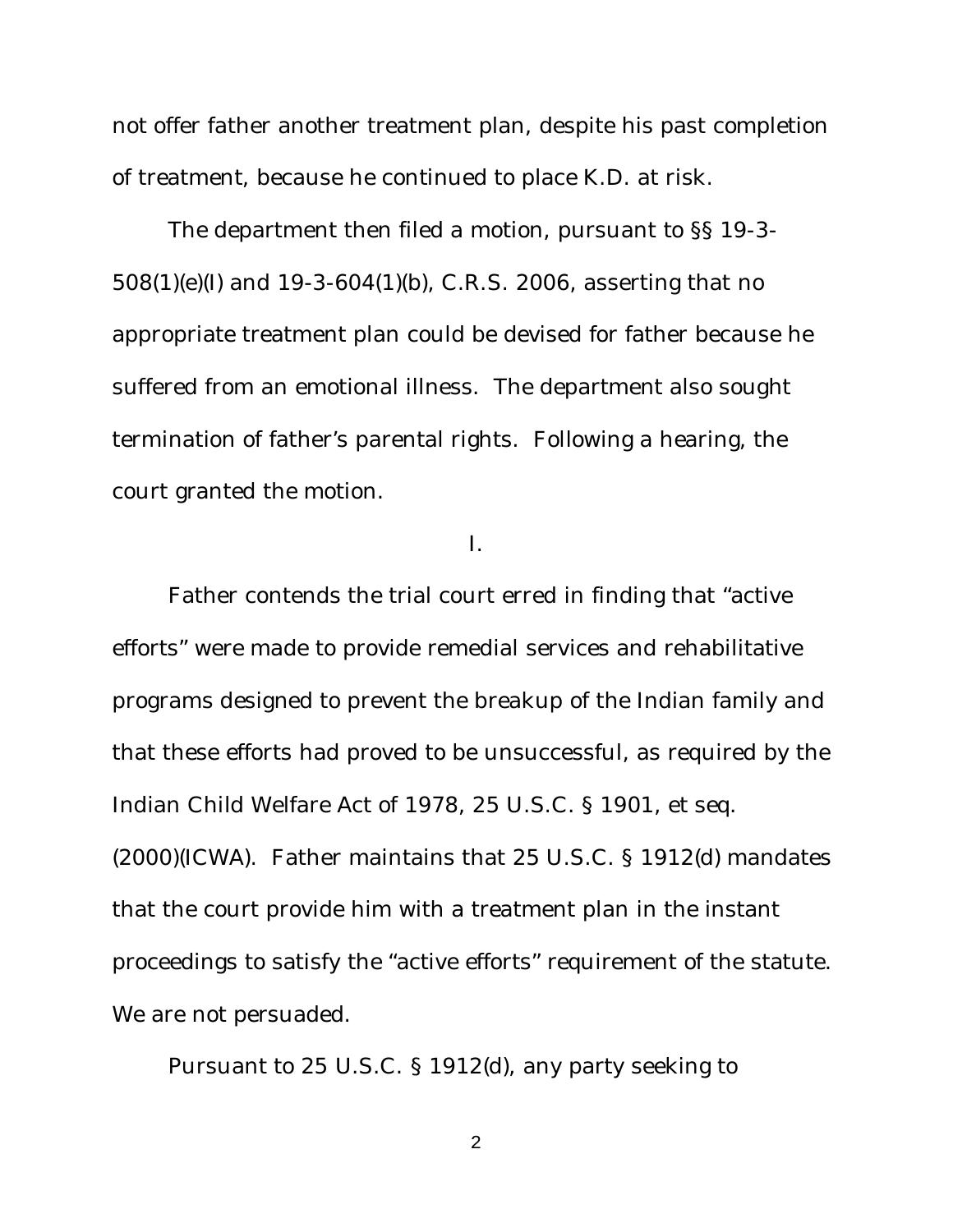not offer father another treatment plan, despite his past completion of treatment, because he continued to place K.D. at risk.

The department then filed a motion, pursuant to §§ 19-3- 508(1)(e)(I) and 19-3-604(1)(b), C.R.S. 2006, asserting that no appropriate treatment plan could be devised for father because he suffered from an emotional illness. The department also sought termination of father's parental rights. Following a hearing, the court granted the motion.

I.

Father contends the trial court erred in finding that "active efforts" were made to provide remedial services and rehabilitative programs designed to prevent the breakup of the Indian family and that these efforts had proved to be unsuccessful, as required by the Indian Child Welfare Act of 1978, 25 U.S.C. § 1901, et seq. (2000)(ICWA). Father maintains that 25 U.S.C. § 1912(d) mandates that the court provide him with a treatment plan in the instant proceedings to satisfy the "active efforts" requirement of the statute. We are not persuaded.

Pursuant to 25 U.S.C. § 1912(d), any party seeking to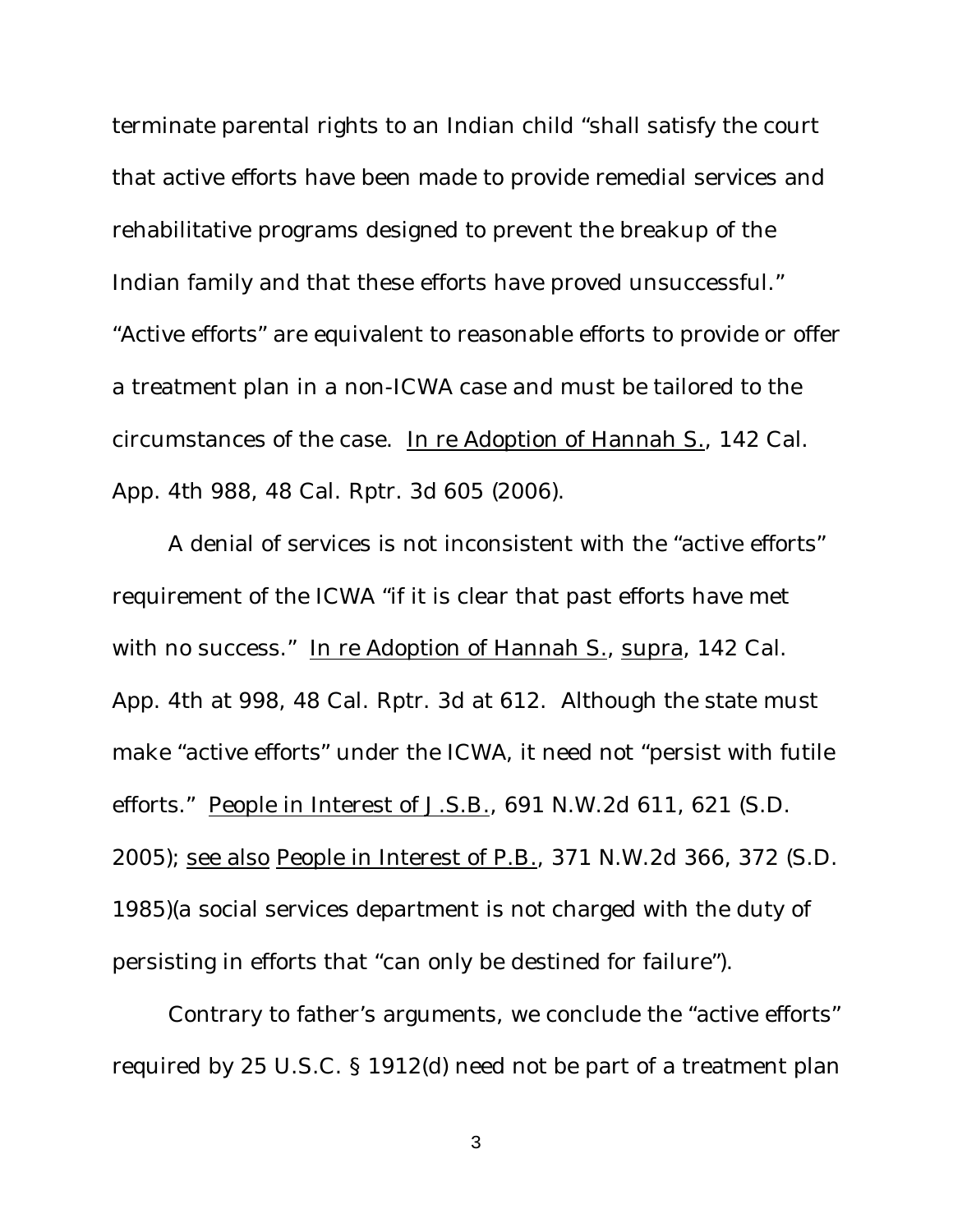terminate parental rights to an Indian child "shall satisfy the court that active efforts have been made to provide remedial services and rehabilitative programs designed to prevent the breakup of the Indian family and that these efforts have proved unsuccessful." "Active efforts" are equivalent to reasonable efforts to provide or offer a treatment plan in a non-ICWA case and must be tailored to the circumstances of the case. In re Adoption of Hannah S., 142 Cal. App. 4th 988, 48 Cal. Rptr. 3d 605 (2006).

A denial of services is not inconsistent with the "active efforts" requirement of the ICWA "if it is clear that past efforts have met with no success." In re Adoption of Hannah S., supra, 142 Cal. App. 4th at 998, 48 Cal. Rptr. 3d at 612. Although the state must make "active efforts" under the ICWA, it need not "persist with futile efforts." People in Interest of J.S.B., 691 N.W.2d 611, 621 (S.D. 2005); see also People in Interest of P.B., 371 N.W.2d 366, 372 (S.D. 1985)(a social services department is not charged with the duty of persisting in efforts that "can only be destined for failure").

Contrary to father's arguments, we conclude the "active efforts" required by 25 U.S.C. § 1912(d) need not be part of a treatment plan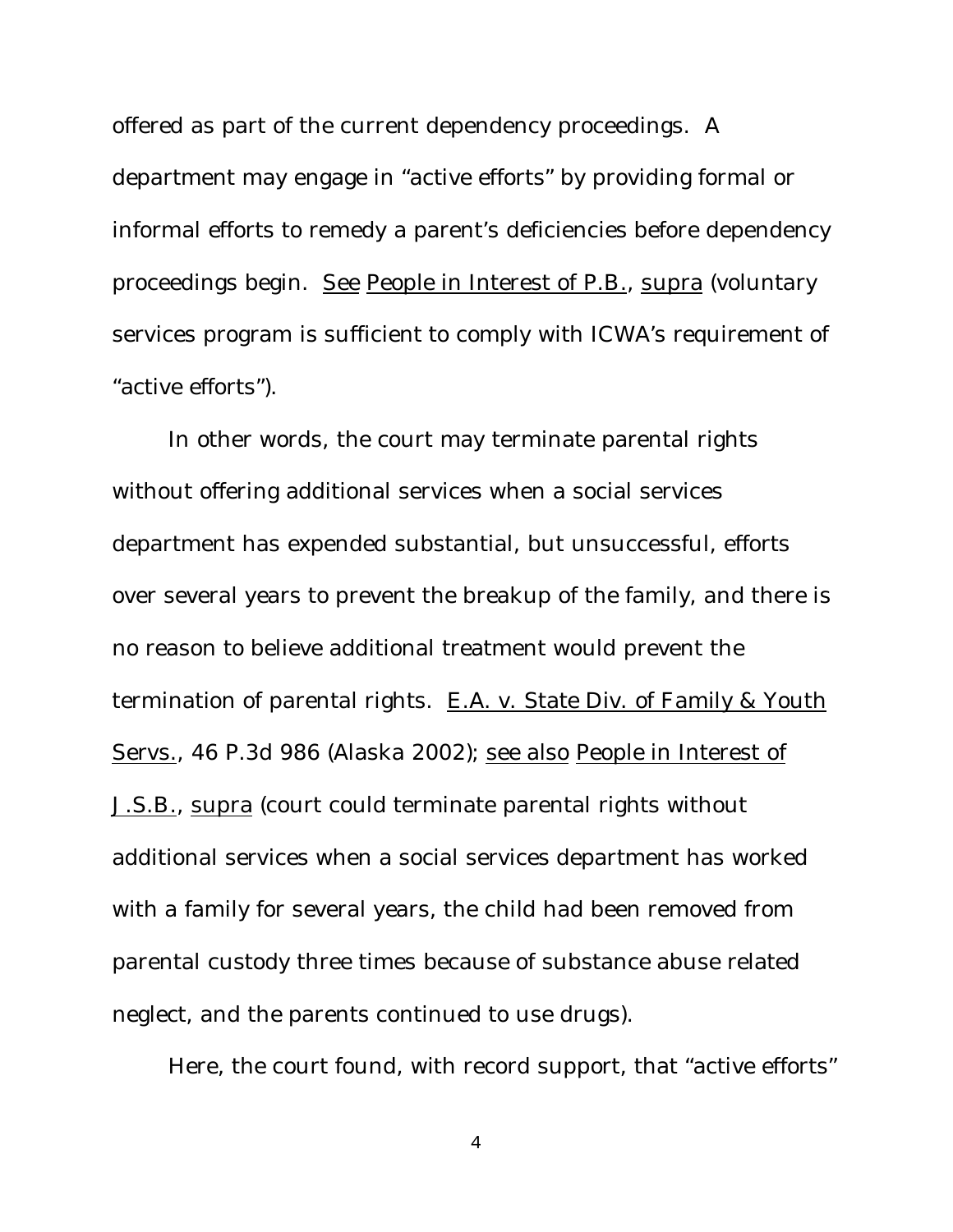offered as part of the current dependency proceedings. A department may engage in "active efforts" by providing formal or informal efforts to remedy a parent's deficiencies before dependency proceedings begin. See People in Interest of P.B., supra (voluntary services program is sufficient to comply with ICWA's requirement of "active efforts").

In other words, the court may terminate parental rights without offering additional services when a social services department has expended substantial, but unsuccessful, efforts over several years to prevent the breakup of the family, and there is no reason to believe additional treatment would prevent the termination of parental rights. E.A. v. State Div. of Family & Youth Servs., 46 P.3d 986 (Alaska 2002); see also People in Interest of J.S.B., supra (court could terminate parental rights without additional services when a social services department has worked with a family for several years, the child had been removed from parental custody three times because of substance abuse related neglect, and the parents continued to use drugs).

Here, the court found, with record support, that "active efforts"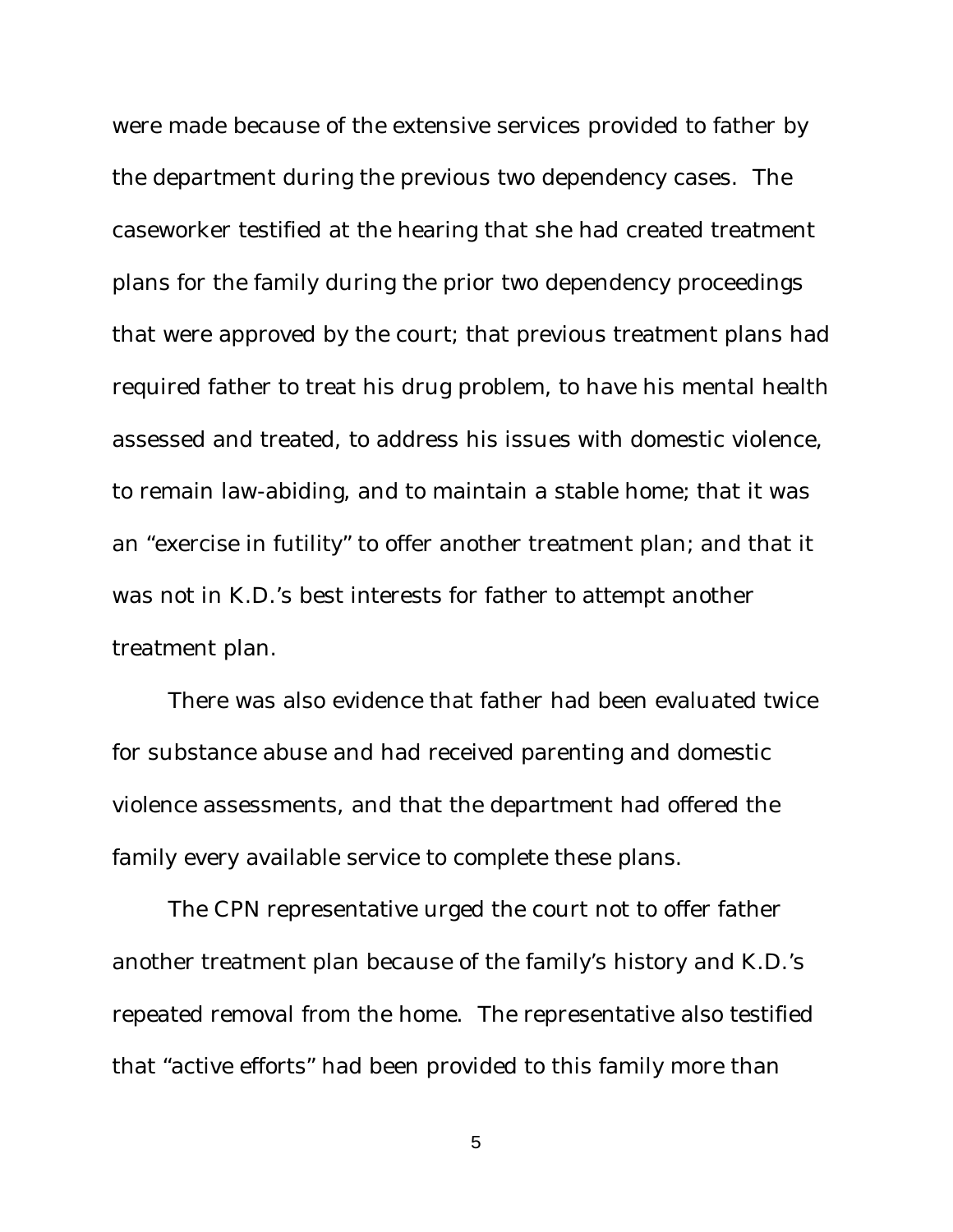were made because of the extensive services provided to father by the department during the previous two dependency cases. The caseworker testified at the hearing that she had created treatment plans for the family during the prior two dependency proceedings that were approved by the court; that previous treatment plans had required father to treat his drug problem, to have his mental health assessed and treated, to address his issues with domestic violence, to remain law-abiding, and to maintain a stable home; that it was an "exercise in futility" to offer another treatment plan; and that it was not in K.D.'s best interests for father to attempt another treatment plan.

There was also evidence that father had been evaluated twice for substance abuse and had received parenting and domestic violence assessments, and that the department had offered the family every available service to complete these plans.

The CPN representative urged the court not to offer father another treatment plan because of the family's history and K.D.'s repeated removal from the home. The representative also testified that "active efforts" had been provided to this family more than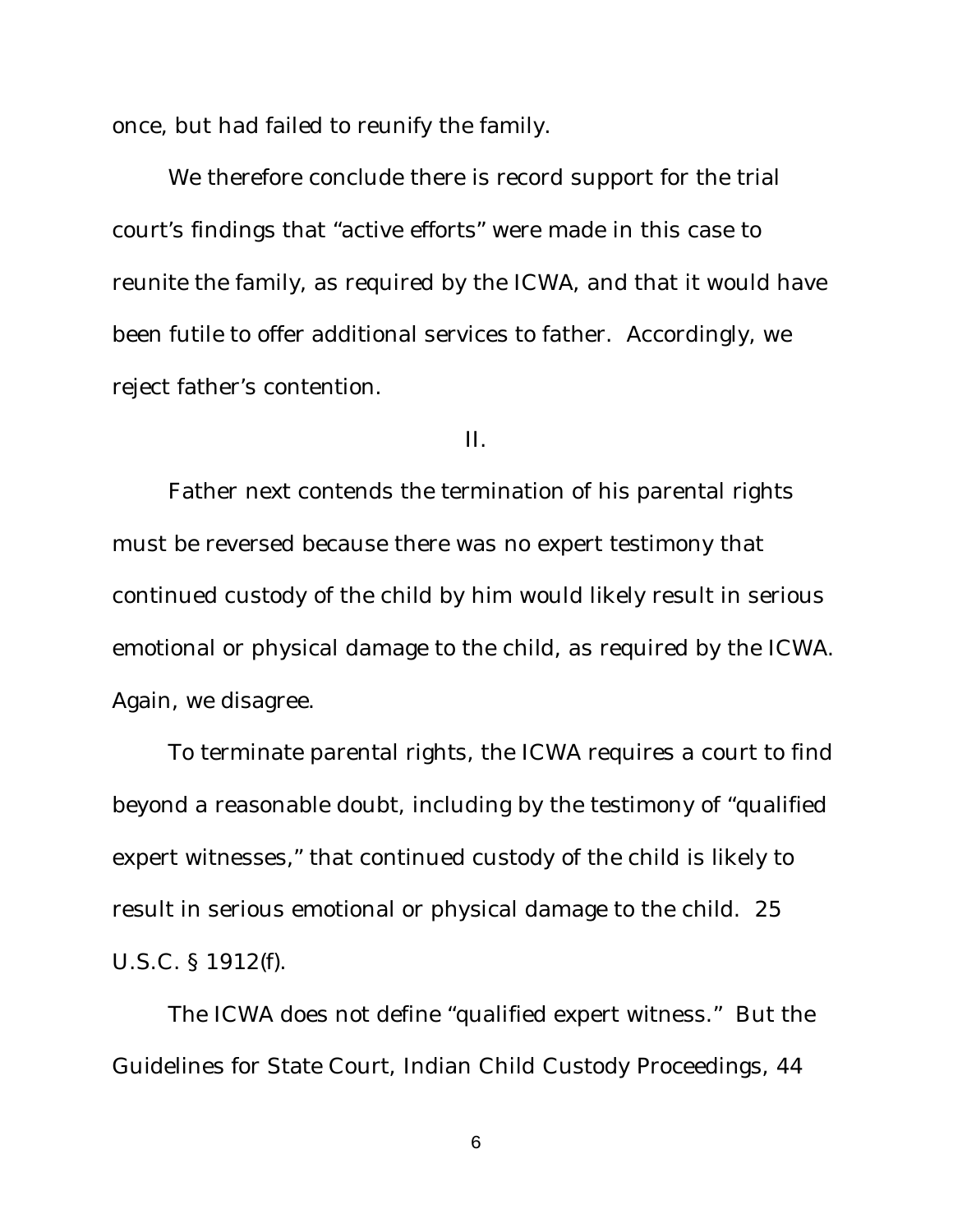once, but had failed to reunify the family.

We therefore conclude there is record support for the trial court's findings that "active efforts" were made in this case to reunite the family, as required by the ICWA, and that it would have been futile to offer additional services to father. Accordingly, we reject father's contention.

II.

Father next contends the termination of his parental rights must be reversed because there was no expert testimony that continued custody of the child by him would likely result in serious emotional or physical damage to the child, as required by the ICWA. Again, we disagree.

To terminate parental rights, the ICWA requires a court to find beyond a reasonable doubt, including by the testimony of "qualified expert witnesses," that continued custody of the child is likely to result in serious emotional or physical damage to the child. 25 U.S.C. § 1912(f).

The ICWA does not define "qualified expert witness." But the Guidelines for State Court, Indian Child Custody Proceedings, 44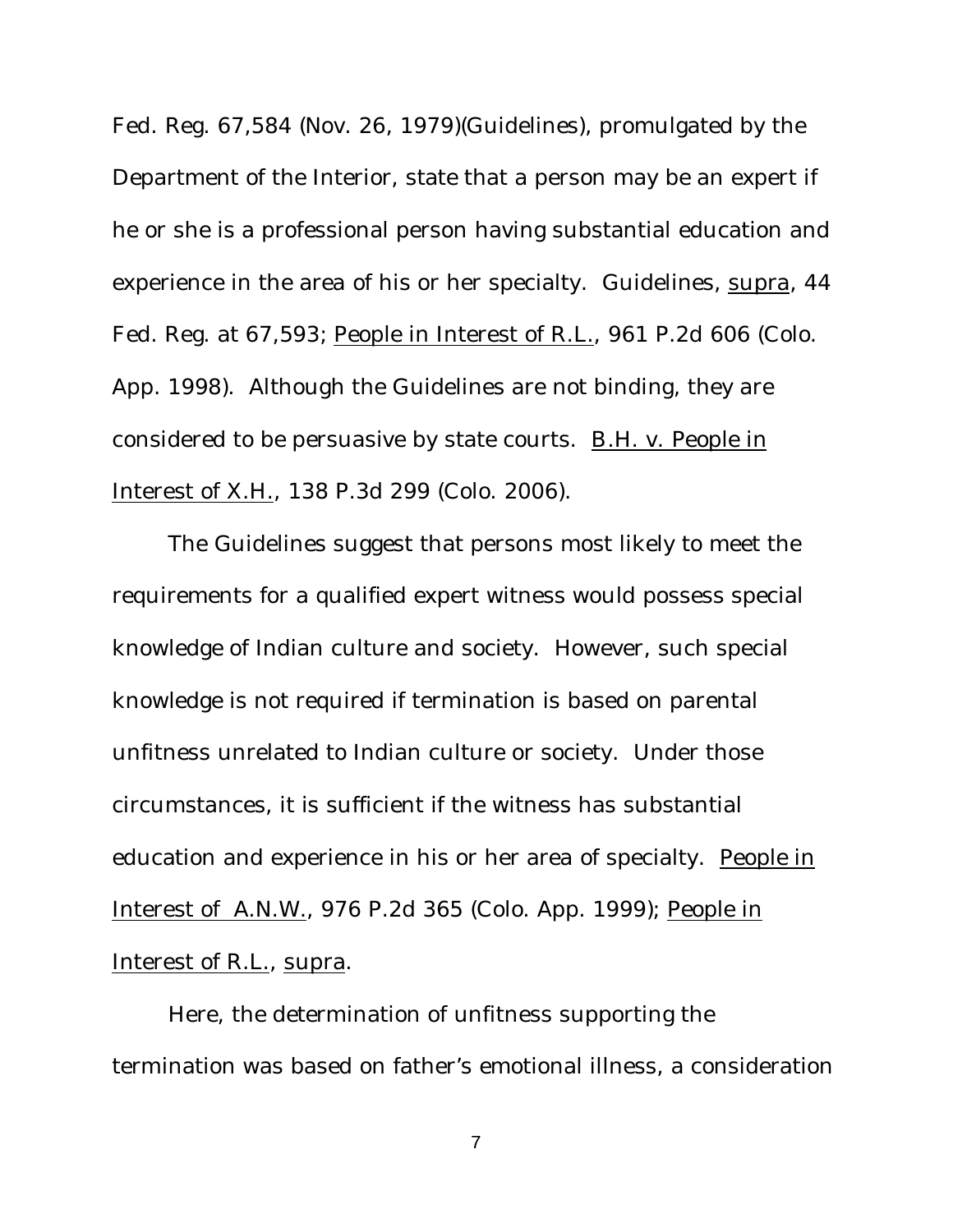Fed. Reg. 67,584 (Nov. 26, 1979)(Guidelines), promulgated by the Department of the Interior, state that a person may be an expert if he or she is a professional person having substantial education and experience in the area of his or her specialty. Guidelines, supra, 44 Fed. Reg. at 67,593; People in Interest of R.L., 961 P.2d 606 (Colo. App. 1998). Although the Guidelines are not binding, they are considered to be persuasive by state courts. B.H. v. People in Interest of X.H., 138 P.3d 299 (Colo. 2006).

The Guidelines suggest that persons most likely to meet the requirements for a qualified expert witness would possess special knowledge of Indian culture and society. However, such special knowledge is not required if termination is based on parental unfitness unrelated to Indian culture or society. Under those circumstances, it is sufficient if the witness has substantial education and experience in his or her area of specialty. People in Interest of A.N.W., 976 P.2d 365 (Colo. App. 1999); People in Interest of R.L., supra.

Here, the determination of unfitness supporting the termination was based on father's emotional illness, a consideration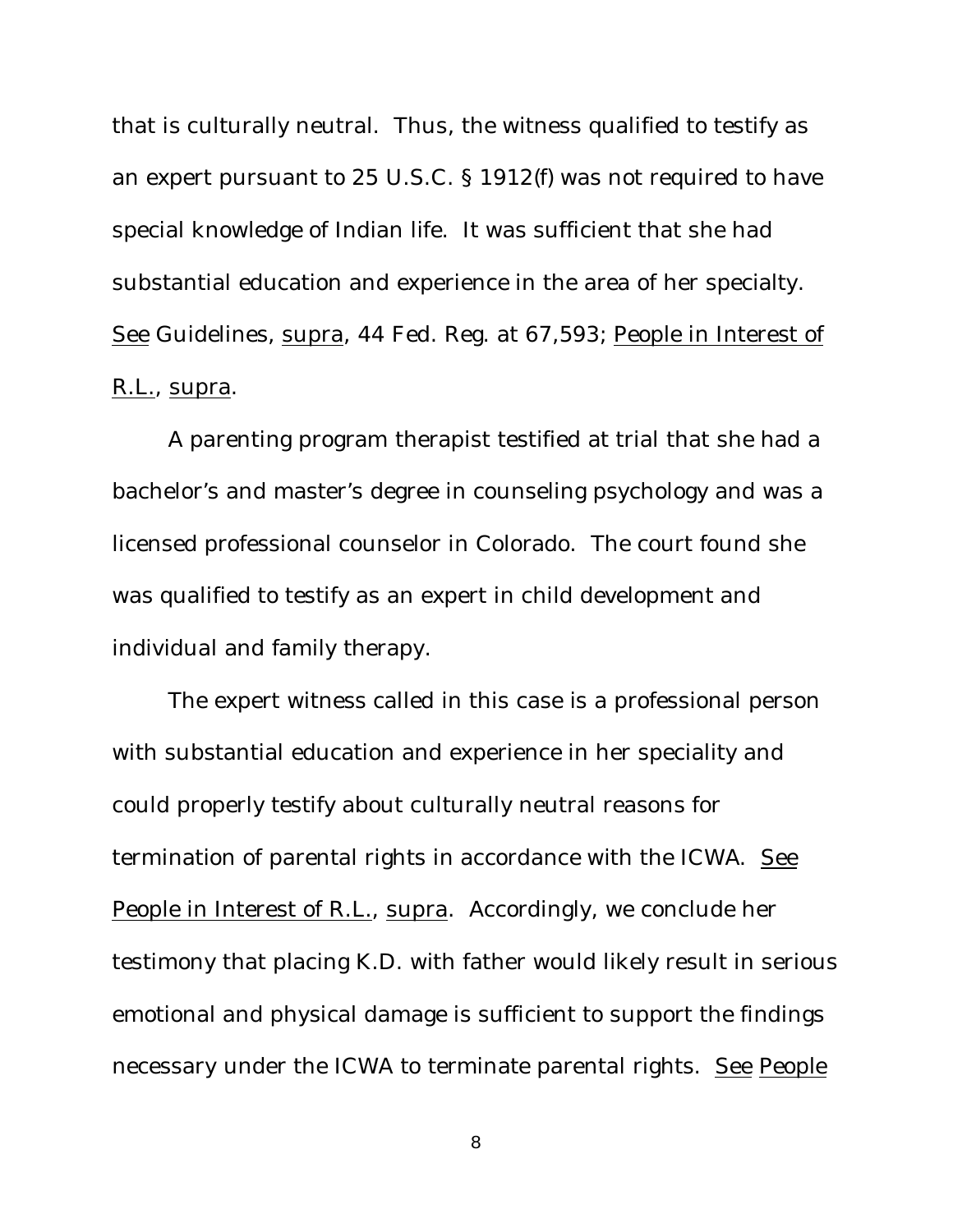that is culturally neutral. Thus, the witness qualified to testify as an expert pursuant to 25 U.S.C. § 1912(f) was not required to have special knowledge of Indian life. It was sufficient that she had substantial education and experience in the area of her specialty. See Guidelines, supra, 44 Fed. Reg. at 67,593; People in Interest of R.L., supra.

A parenting program therapist testified at trial that she had a bachelor's and master's degree in counseling psychology and was a licensed professional counselor in Colorado. The court found she was qualified to testify as an expert in child development and individual and family therapy.

The expert witness called in this case is a professional person with substantial education and experience in her speciality and could properly testify about culturally neutral reasons for termination of parental rights in accordance with the ICWA. See People in Interest of R.L., supra. Accordingly, we conclude her testimony that placing K.D. with father would likely result in serious emotional and physical damage is sufficient to support the findings necessary under the ICWA to terminate parental rights. See People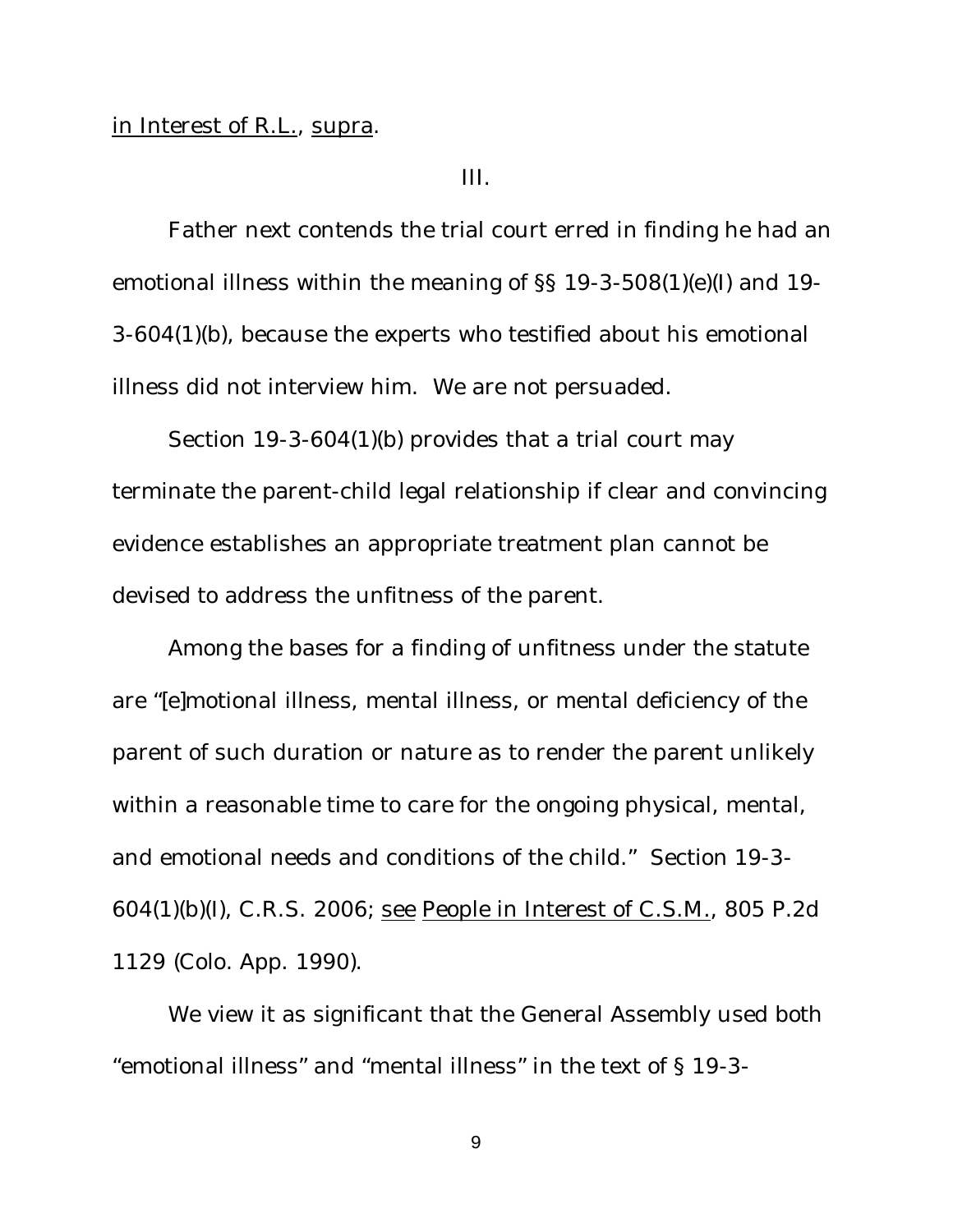## in Interest of R.L., supra.

III.

Father next contends the trial court erred in finding he had an emotional illness within the meaning of §§ 19-3-508(1)(e)(I) and 19- 3-604(1)(b), because the experts who testified about his emotional illness did not interview him. We are not persuaded.

Section 19-3-604(1)(b) provides that a trial court may terminate the parent-child legal relationship if clear and convincing evidence establishes an appropriate treatment plan cannot be devised to address the unfitness of the parent.

Among the bases for a finding of unfitness under the statute are "[e]motional illness, mental illness, or mental deficiency of the parent of such duration or nature as to render the parent unlikely within a reasonable time to care for the ongoing physical, mental, and emotional needs and conditions of the child." Section 19-3- 604(1)(b)(I), C.R.S. 2006; see People in Interest of C.S.M., 805 P.2d 1129 (Colo. App. 1990).

We view it as significant that the General Assembly used both "emotional illness" and "mental illness" in the text of § 19-3-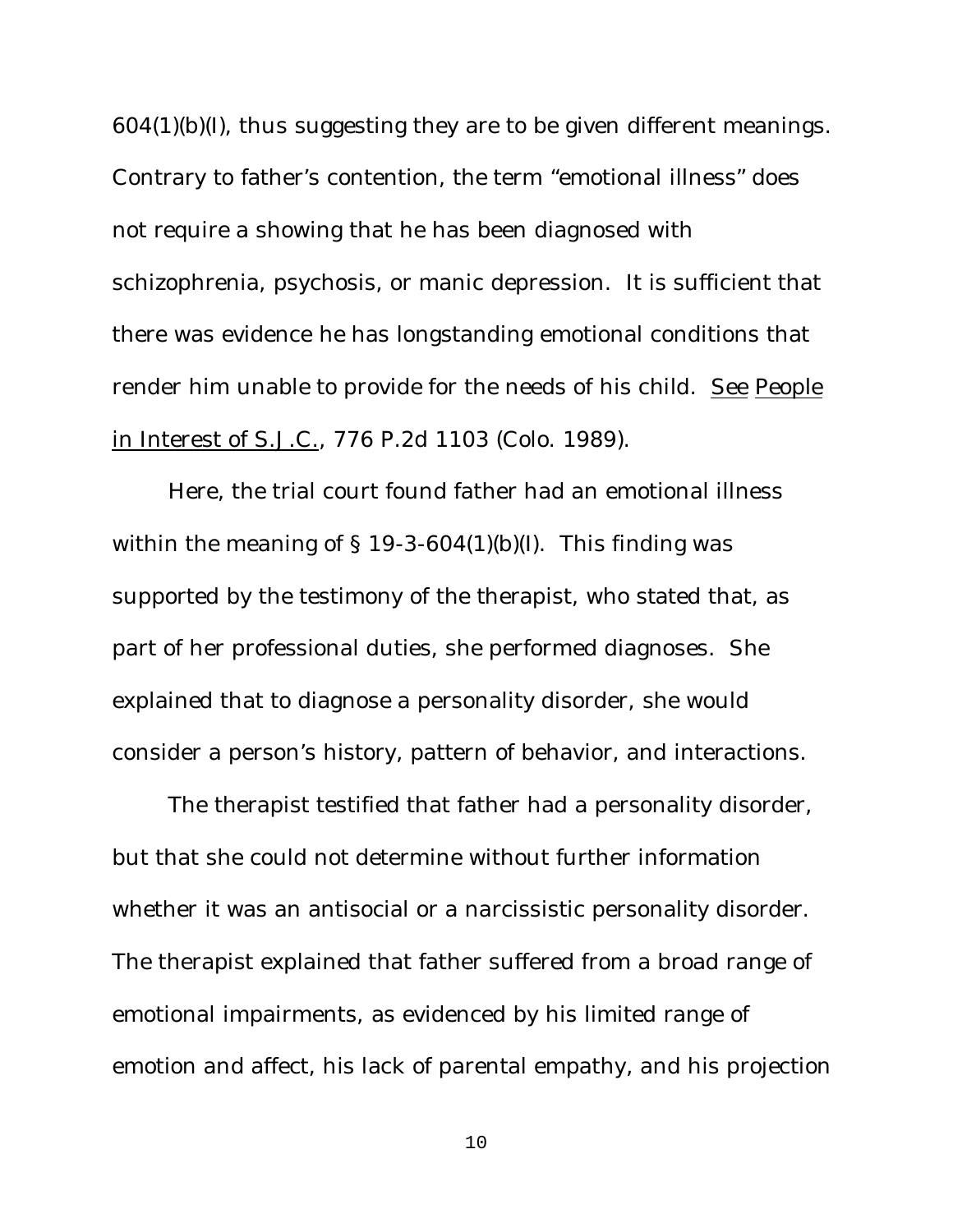604(1)(b)(I), thus suggesting they are to be given different meanings. Contrary to father's contention, the term "emotional illness" does not require a showing that he has been diagnosed with schizophrenia, psychosis, or manic depression. It is sufficient that there was evidence he has longstanding emotional conditions that render him unable to provide for the needs of his child. See People in Interest of S.J.C., 776 P.2d 1103 (Colo. 1989).

Here, the trial court found father had an emotional illness within the meaning of  $\S$  19-3-604(1)(b)(I). This finding was supported by the testimony of the therapist, who stated that, as part of her professional duties, she performed diagnoses. She explained that to diagnose a personality disorder, she would consider a person's history, pattern of behavior, and interactions.

The therapist testified that father had a personality disorder, but that she could not determine without further information whether it was an antisocial or a narcissistic personality disorder. The therapist explained that father suffered from a broad range of emotional impairments, as evidenced by his limited range of emotion and affect, his lack of parental empathy, and his projection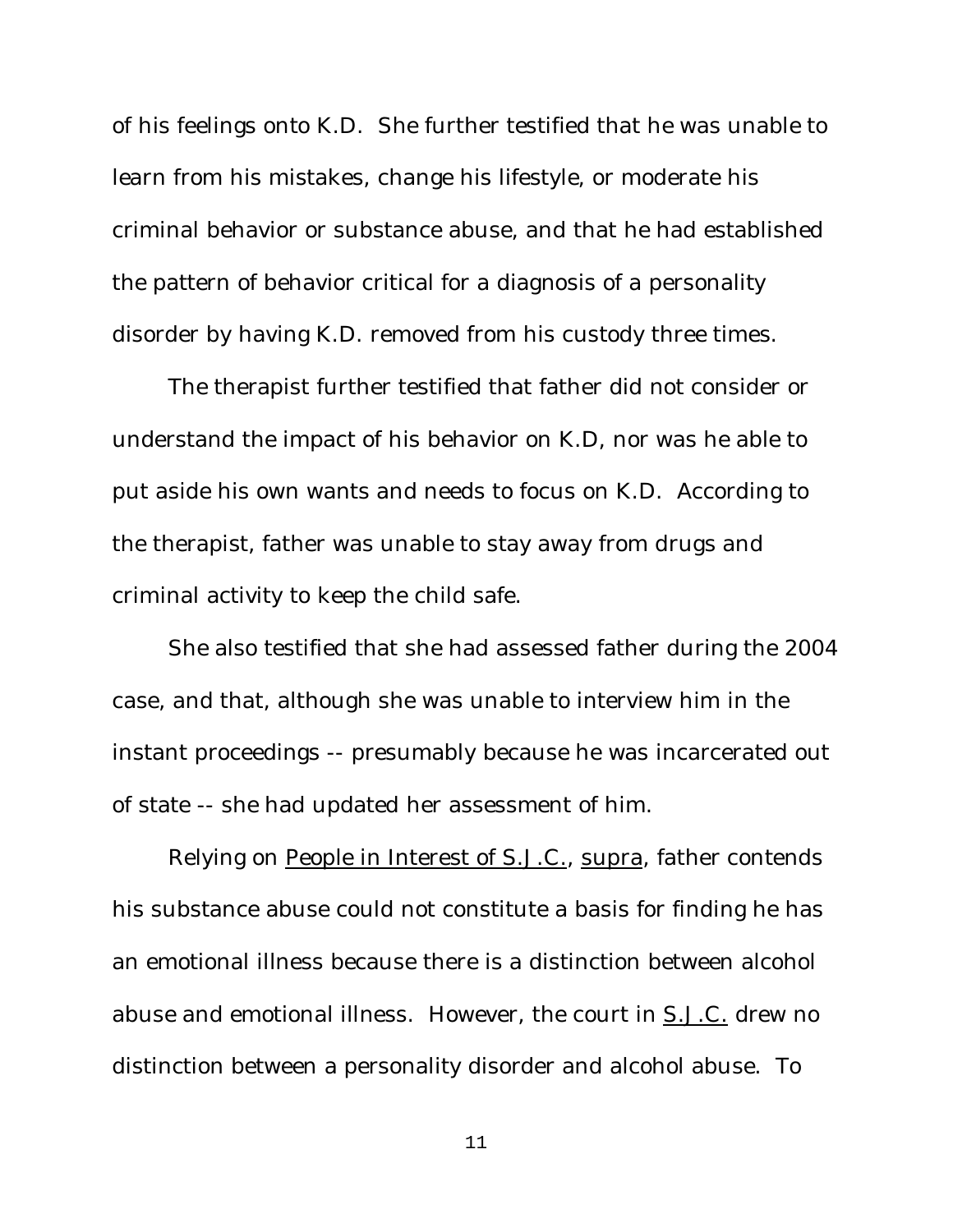of his feelings onto K.D. She further testified that he was unable to learn from his mistakes, change his lifestyle, or moderate his criminal behavior or substance abuse, and that he had established the pattern of behavior critical for a diagnosis of a personality disorder by having K.D. removed from his custody three times.

The therapist further testified that father did not consider or understand the impact of his behavior on K.D, nor was he able to put aside his own wants and needs to focus on K.D. According to the therapist, father was unable to stay away from drugs and criminal activity to keep the child safe.

She also testified that she had assessed father during the 2004 case, and that, although she was unable to interview him in the instant proceedings -- presumably because he was incarcerated out of state -- she had updated her assessment of him.

Relying on People in Interest of S.J.C., supra, father contends his substance abuse could not constitute a basis for finding he has an emotional illness because there is a distinction between alcohol abuse and emotional illness. However, the court in S.J.C. drew no distinction between a personality disorder and alcohol abuse. To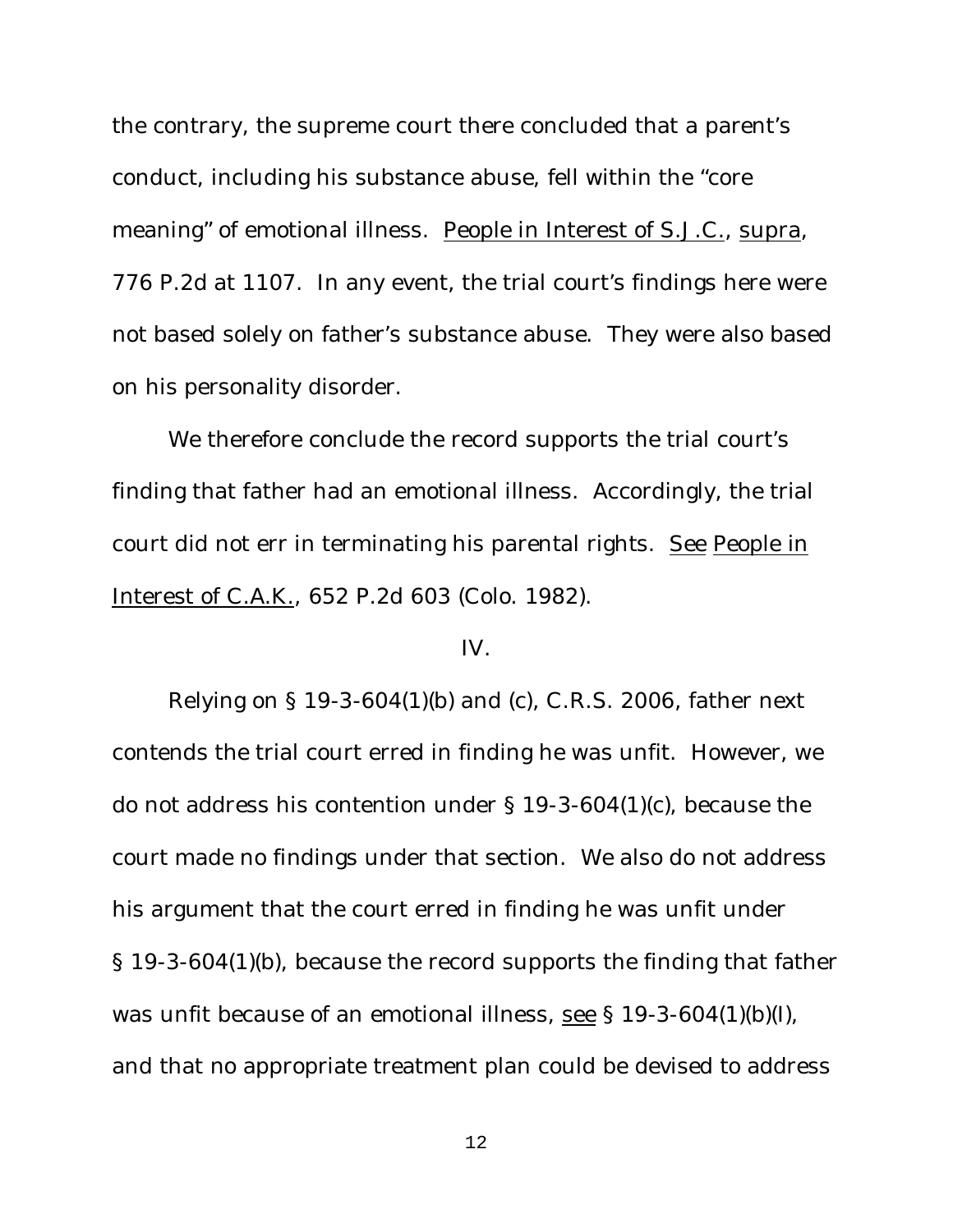the contrary, the supreme court there concluded that a parent's conduct, including his substance abuse, fell within the "core meaning" of emotional illness. People in Interest of S.J.C., supra, 776 P.2d at 1107. In any event, the trial court's findings here were not based solely on father's substance abuse. They were also based on his personality disorder.

We therefore conclude the record supports the trial court's finding that father had an emotional illness. Accordingly, the trial court did not err in terminating his parental rights. See People in Interest of C.A.K., 652 P.2d 603 (Colo. 1982).

## IV.

Relying on § 19-3-604(1)(b) and (c), C.R.S. 2006, father next contends the trial court erred in finding he was unfit. However, we do not address his contention under § 19-3-604(1)(c), because the court made no findings under that section. We also do not address his argument that the court erred in finding he was unfit under § 19-3-604(1)(b), because the record supports the finding that father was unfit because of an emotional illness, see § 19-3-604(1)(b)(I), and that no appropriate treatment plan could be devised to address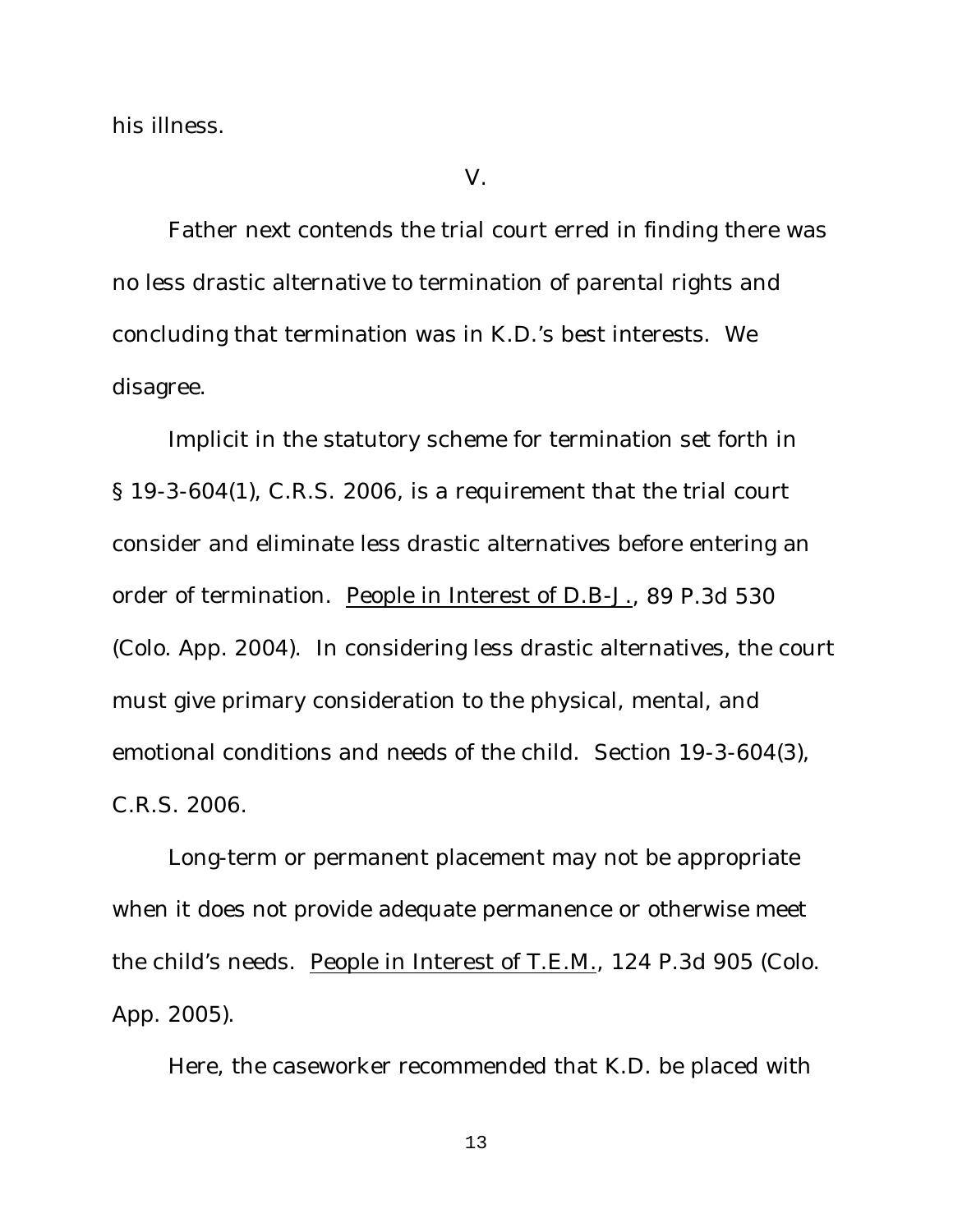his illness.

V.

Father next contends the trial court erred in finding there was no less drastic alternative to termination of parental rights and concluding that termination was in K.D.'s best interests. We disagree.

Implicit in the statutory scheme for termination set forth in § 19-3-604(1), C.R.S. 2006, is a requirement that the trial court consider and eliminate less drastic alternatives before entering an order of termination. People in Interest of D.B-J., 89 P.3d 530 (Colo. App. 2004). In considering less drastic alternatives, the court must give primary consideration to the physical, mental, and emotional conditions and needs of the child. Section 19-3-604(3), C.R.S. 2006.

Long-term or permanent placement may not be appropriate when it does not provide adequate permanence or otherwise meet the child's needs. People in Interest of T.E.M., 124 P.3d 905 (Colo. App. 2005).

Here, the caseworker recommended that K.D. be placed with